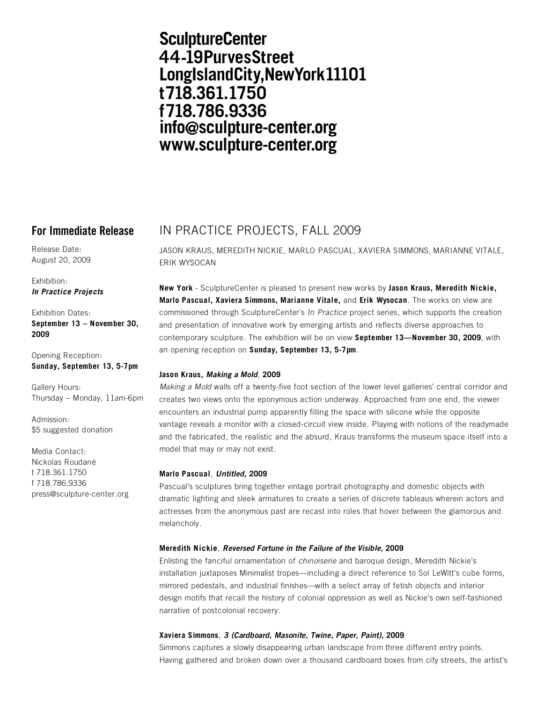# **SculptureCenter** 44-19PurvesStreet LongIslandCity, New York 11101 t718.361.1750 f718.786.9336 info@sculpture-center.org www.sculpture-center.org

Release Date: August 20, 2009

Exhibition: *In Practice Projects*

Exhibition Dates: **September 13 – November 30, 2009**

Opening Reception: **Sunday, September 13, 5-7pm**

Gallery Hours: Thursday – Monday, 11am-6pm

Admission: \$5 suggested donation

Media Contact: Nickolas Roudané t 718.361.1750 f 718.786.9336 press@sculpture-center.org

# **For Immediate Release** IN PRACTICE PROJECTS, FALL 2009

JASON KRAUS, MEREDITH NICKIE, MARLO PASCUAL, XAVIERA SIMMONS, MARIANNE VITALE, ERIK WYSOCAN

**New York** - SculptureCenter is pleased to present new works by **Jason Kraus, Meredith Nickie, Marlo Pascual, Xaviera Simmons, Marianne Vitale,** and **Erik Wysocan**. The works on view are commissioned through SculptureCenter's *In Practice* project series, which supports the creation and presentation of innovative work by emerging artists and reflects diverse approaches to contemporary sculpture. The exhibition will be on view **September 13—November 30, 2009**, with an opening reception on **Sunday, September 13, 5-7pm**.

# **Jason Kraus,** *Making a Mold*, **2009**

*Making a Mold* walls off a twenty-five foot section of the lower level galleries' central corridor and creates two views onto the eponymous action underway. Approached from one end, the viewer encounters an industrial pump apparently filling the space with silicone while the opposite vantage reveals a monitor with a closed-circuit view inside. Playing with notions of the readymade and the fabricated, the realistic and the absurd, Kraus transforms the museum space itself into a model that may or may not exist.

## **Marlo Pascual**, *Untitled,* **2009**

Pascual's sculptures bring together vintage portrait photography and domestic objects with dramatic lighting and sleek armatures to create a series of discrete tableaus wherein actors and actresses from the anonymous past are recast into roles that hover between the glamorous and melancholy.

## **Meredith Nickie**, *Reversed Fortune in the Failure of the Visible,* **2009**

Enlisting the fanciful ornamentation of *chinoiserie* and baroque design, Meredith Nickie's installation juxtaposes Minimalist tropes—including a direct reference to Sol LeWitt's cube forms, mirrored pedestals, and industrial finishes—with a select array of fetish objects and interior design motifs that recall the history of colonial oppression as well as Nickie's own self-fashioned narrative of postcolonial recovery.

# **Xaviera Simmons**, *3 (Cardboard, Masonite, Twine, Paper, Paint),* **2009**

Simmons captures a slowly disappearing urban landscape from three different entry points. Having gathered and broken down over a thousand cardboard boxes from city streets, the artist's